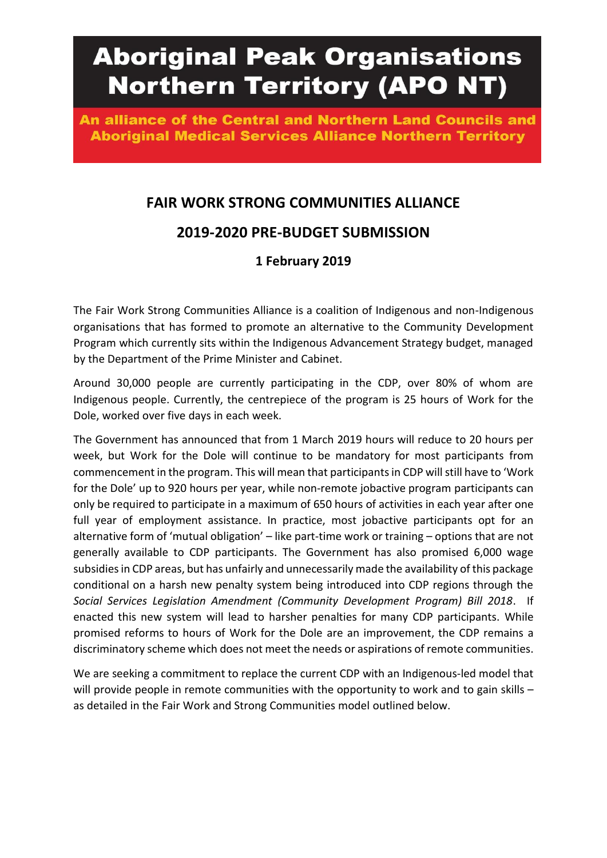# **Aboriginal Peak Organisations Northern Territory (APO NT)**

An alliance of the Central and Northern Land Councils and **Aboriginal Medical Services Alliance Northern Territory** 

# **FAIR WORK STRONG COMMUNITIES ALLIANCE**

## **2019-2020 PRE-BUDGET SUBMISSION**

### **1 February 2019**

The Fair Work Strong Communities Alliance is a coalition of Indigenous and non-Indigenous organisations that has formed to promote an alternative to the Community Development Program which currently sits within the Indigenous Advancement Strategy budget, managed by the Department of the Prime Minister and Cabinet.

Around 30,000 people are currently participating in the CDP, over 80% of whom are Indigenous people. Currently, the centrepiece of the program is 25 hours of Work for the Dole, worked over five days in each week.

The Government has announced that from 1 March 2019 hours will reduce to 20 hours per week, but Work for the Dole will continue to be mandatory for most participants from commencement in the program. This will mean that participants in CDP will still have to 'Work for the Dole' up to 920 hours per year, while non-remote jobactive program participants can only be required to participate in a maximum of 650 hours of activities in each year after one full year of employment assistance. In practice, most jobactive participants opt for an alternative form of 'mutual obligation' – like part-time work or training – options that are not generally available to CDP participants. The Government has also promised 6,000 wage subsidies in CDP areas, but has unfairly and unnecessarily made the availability of this package conditional on a harsh new penalty system being introduced into CDP regions through the *Social Services Legislation Amendment (Community Development Program) Bill 2018*. If enacted this new system will lead to harsher penalties for many CDP participants. While promised reforms to hours of Work for the Dole are an improvement, the CDP remains a discriminatory scheme which does not meet the needs or aspirations of remote communities.

We are seeking a commitment to replace the current CDP with an Indigenous-led model that will provide people in remote communities with the opportunity to work and to gain skills as detailed in the Fair Work and Strong Communities model outlined below.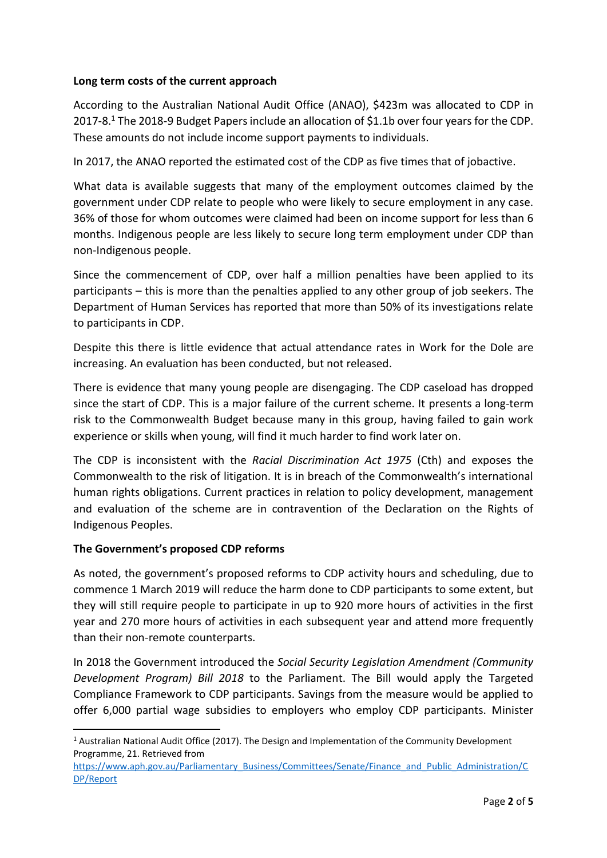#### **Long term costs of the current approach**

According to the Australian National Audit Office (ANAO), \$423m was allocated to CDP in 2017-8. <sup>1</sup> The 2018-9 Budget Papers include an allocation of \$1.1b over four years for the CDP. These amounts do not include income support payments to individuals.

In 2017, the ANAO reported the estimated cost of the CDP as five times that of jobactive.

What data is available suggests that many of the employment outcomes claimed by the government under CDP relate to people who were likely to secure employment in any case. 36% of those for whom outcomes were claimed had been on income support for less than 6 months. Indigenous people are less likely to secure long term employment under CDP than non-Indigenous people.

Since the commencement of CDP, over half a million penalties have been applied to its participants – this is more than the penalties applied to any other group of job seekers. The Department of Human Services has reported that more than 50% of its investigations relate to participants in CDP.

Despite this there is little evidence that actual attendance rates in Work for the Dole are increasing. An evaluation has been conducted, but not released.

There is evidence that many young people are disengaging. The CDP caseload has dropped since the start of CDP. This is a major failure of the current scheme. It presents a long-term risk to the Commonwealth Budget because many in this group, having failed to gain work experience or skills when young, will find it much harder to find work later on.

The CDP is inconsistent with the *Racial Discrimination Act 1975* (Cth) and exposes the Commonwealth to the risk of litigation. It is in breach of the Commonwealth's international human rights obligations. Current practices in relation to policy development, management and evaluation of the scheme are in contravention of the Declaration on the Rights of Indigenous Peoples.

#### **The Government's proposed CDP reforms**

1

As noted, the government's proposed reforms to CDP activity hours and scheduling, due to commence 1 March 2019 will reduce the harm done to CDP participants to some extent, but they will still require people to participate in up to 920 more hours of activities in the first year and 270 more hours of activities in each subsequent year and attend more frequently than their non-remote counterparts.

In 2018 the Government introduced the *Social Security Legislation Amendment (Community Development Program) Bill 2018* to the Parliament. The Bill would apply the Targeted Compliance Framework to CDP participants. Savings from the measure would be applied to offer 6,000 partial wage subsidies to employers who employ CDP participants. Minister

<sup>1</sup> Australian National Audit Office (2017). The Design and Implementation of the Community Development Programme, 21. Retrieved from

[https://www.aph.gov.au/Parliamentary\\_Business/Committees/Senate/Finance\\_and\\_Public\\_Administration/C](https://www.aph.gov.au/Parliamentary_Business/Committees/Senate/Finance_and_Public_Administration/CDP/Report) [DP/Report](https://www.aph.gov.au/Parliamentary_Business/Committees/Senate/Finance_and_Public_Administration/CDP/Report)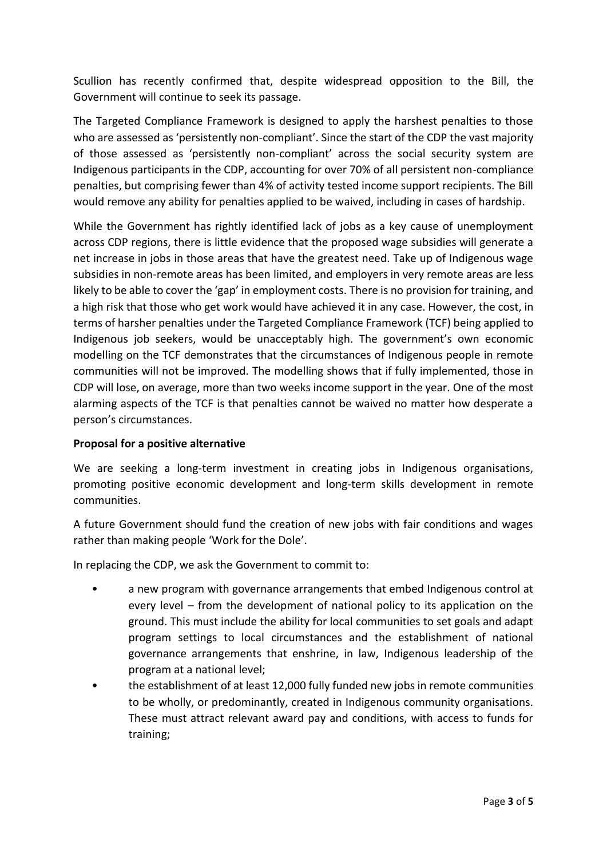Scullion has recently confirmed that, despite widespread opposition to the Bill, the Government will continue to seek its passage.

The Targeted Compliance Framework is designed to apply the harshest penalties to those who are assessed as 'persistently non-compliant'. Since the start of the CDP the vast majority of those assessed as 'persistently non-compliant' across the social security system are Indigenous participants in the CDP, accounting for over 70% of all persistent non-compliance penalties, but comprising fewer than 4% of activity tested income support recipients. The Bill would remove any ability for penalties applied to be waived, including in cases of hardship.

While the Government has rightly identified lack of jobs as a key cause of unemployment across CDP regions, there is little evidence that the proposed wage subsidies will generate a net increase in jobs in those areas that have the greatest need. Take up of Indigenous wage subsidies in non-remote areas has been limited, and employers in very remote areas are less likely to be able to cover the 'gap' in employment costs. There is no provision for training, and a high risk that those who get work would have achieved it in any case. However, the cost, in terms of harsher penalties under the Targeted Compliance Framework (TCF) being applied to Indigenous job seekers, would be unacceptably high. The government's own economic modelling on the TCF demonstrates that the circumstances of Indigenous people in remote communities will not be improved. The modelling shows that if fully implemented, those in CDP will lose, on average, more than two weeks income support in the year. One of the most alarming aspects of the TCF is that penalties cannot be waived no matter how desperate a person's circumstances.

#### **Proposal for a positive alternative**

We are seeking a long-term investment in creating jobs in Indigenous organisations, promoting positive economic development and long-term skills development in remote communities.

A future Government should fund the creation of new jobs with fair conditions and wages rather than making people 'Work for the Dole'.

In replacing the CDP, we ask the Government to commit to:

- a new program with governance arrangements that embed Indigenous control at every level – from the development of national policy to its application on the ground. This must include the ability for local communities to set goals and adapt program settings to local circumstances and the establishment of national governance arrangements that enshrine, in law, Indigenous leadership of the program at a national level;
- the establishment of at least 12,000 fully funded new jobs in remote communities to be wholly, or predominantly, created in Indigenous community organisations. These must attract relevant award pay and conditions, with access to funds for training;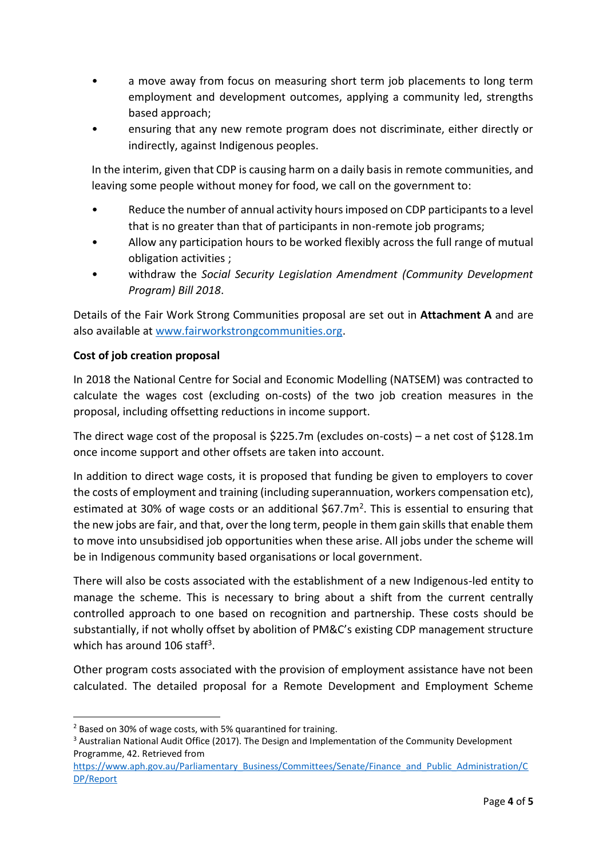- a move away from focus on measuring short term job placements to long term employment and development outcomes, applying a community led, strengths based approach;
- ensuring that any new remote program does not discriminate, either directly or indirectly, against Indigenous peoples.

In the interim, given that CDP is causing harm on a daily basis in remote communities, and leaving some people without money for food, we call on the government to:

- Reduce the number of annual activity hours imposed on CDP participants to a level that is no greater than that of participants in non-remote job programs;
- Allow any participation hours to be worked flexibly across the full range of mutual obligation activities ;
- withdraw the *Social Security Legislation Amendment (Community Development Program) Bill 2018*.

Details of the Fair Work Strong Communities proposal are set out in **Attachment A** and are also available at [www.fairworkstrongcommunities.org.](file:///C:/Users/Haidee/Downloads/www.fairworkstrongcommunities.org)

#### **Cost of job creation proposal**

In 2018 the National Centre for Social and Economic Modelling (NATSEM) was contracted to calculate the wages cost (excluding on-costs) of the two job creation measures in the proposal, including offsetting reductions in income support.

The direct wage cost of the proposal is \$225.7m (excludes on-costs) – a net cost of \$128.1m once income support and other offsets are taken into account.

In addition to direct wage costs, it is proposed that funding be given to employers to cover the costs of employment and training (including superannuation, workers compensation etc), estimated at 30% of wage costs or an additional  $$67.7m<sup>2</sup>$ . This is essential to ensuring that the new jobs are fair, and that, over the long term, people in them gain skills that enable them to move into unsubsidised job opportunities when these arise. All jobs under the scheme will be in Indigenous community based organisations or local government.

There will also be costs associated with the establishment of a new Indigenous-led entity to manage the scheme. This is necessary to bring about a shift from the current centrally controlled approach to one based on recognition and partnership. These costs should be substantially, if not wholly offset by abolition of PM&C's existing CDP management structure which has around 106 staff<sup>3</sup>.

Other program costs associated with the provision of employment assistance have not been calculated. The detailed proposal for a Remote Development and Employment Scheme

 $\overline{a}$ 

 $2$  Based on 30% of wage costs, with 5% quarantined for training.

<sup>3</sup> Australian National Audit Office (2017). The Design and Implementation of the Community Development Programme, 42. Retrieved from

[https://www.aph.gov.au/Parliamentary\\_Business/Committees/Senate/Finance\\_and\\_Public\\_Administration/C](https://www.aph.gov.au/Parliamentary_Business/Committees/Senate/Finance_and_Public_Administration/CDP/Report) [DP/Report](https://www.aph.gov.au/Parliamentary_Business/Committees/Senate/Finance_and_Public_Administration/CDP/Report)